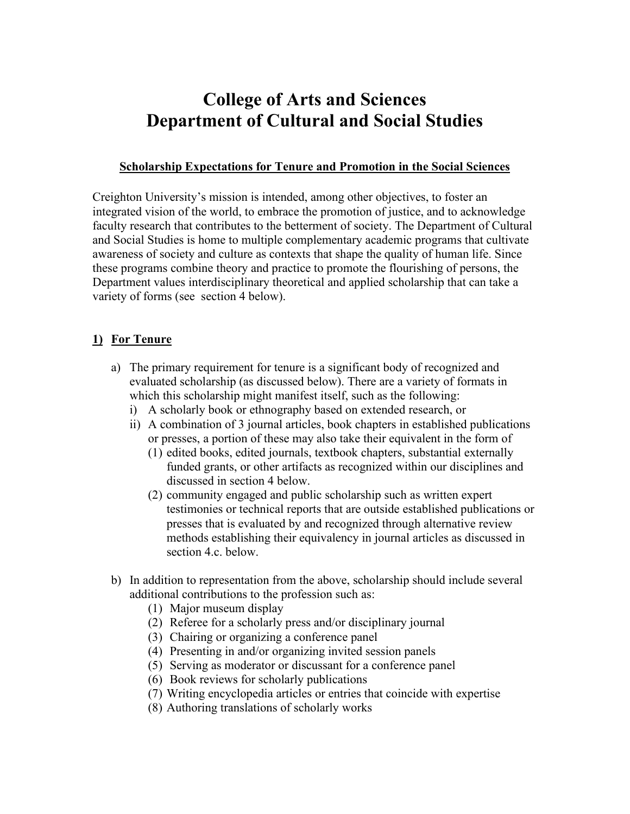# **College of Arts and Sciences Department of Cultural and Social Studies**

#### **Scholarship Expectations for Tenure and Promotion in the Social Sciences**

Creighton University's mission is intended, among other objectives, to foster an integrated vision of the world, to embrace the promotion of justice, and to acknowledge faculty research that contributes to the betterment of society. The Department of Cultural and Social Studies is home to multiple complementary academic programs that cultivate awareness of society and culture as contexts that shape the quality of human life. Since these programs combine theory and practice to promote the flourishing of persons, the Department values interdisciplinary theoretical and applied scholarship that can take a variety of forms (see section 4 below).

## **1) For Tenure**

- a) The primary requirement for tenure is a significant body of recognized and evaluated scholarship (as discussed below). There are a variety of formats in which this scholarship might manifest itself, such as the following:
	- i) A scholarly book or ethnography based on extended research, or
	- ii) A combination of 3 journal articles, book chapters in established publications or presses, a portion of these may also take their equivalent in the form of
		- (1) edited books, edited journals, textbook chapters, substantial externally funded grants, or other artifacts as recognized within our disciplines and discussed in section 4 below.
		- (2) community engaged and public scholarship such as written expert testimonies or technical reports that are outside established publications or presses that is evaluated by and recognized through alternative review methods establishing their equivalency in journal articles as discussed in section 4.c. below.
- b) In addition to representation from the above, scholarship should include several additional contributions to the profession such as:
	- (1) Major museum display
	- (2) Referee for a scholarly press and/or disciplinary journal
	- (3) Chairing or organizing a conference panel
	- (4) Presenting in and/or organizing invited session panels
	- (5) Serving as moderator or discussant for a conference panel
	- (6) Book reviews for scholarly publications
	- (7) Writing encyclopedia articles or entries that coincide with expertise
	- (8) Authoring translations of scholarly works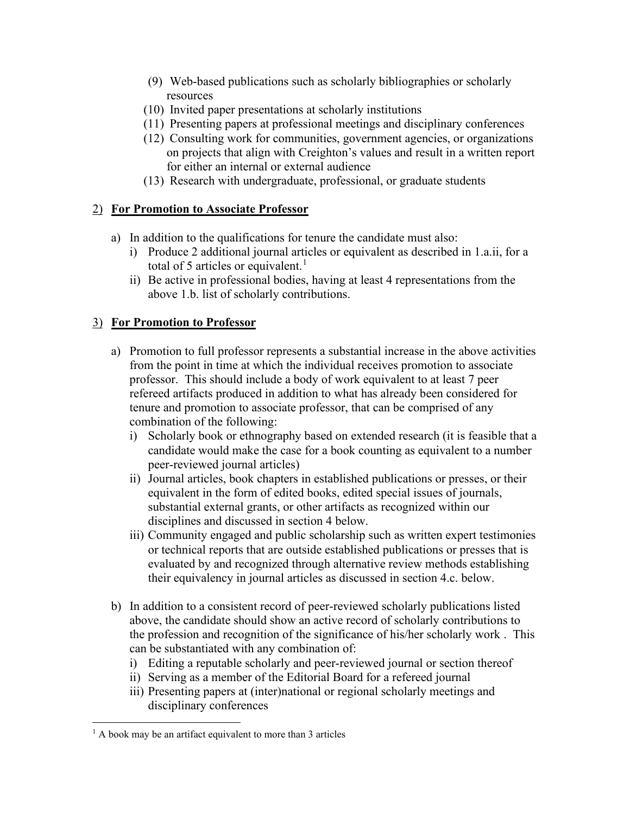- (9) Web-based publications such as scholarly bibliographies or scholarly resources
- (10) Invited paper presentations at scholarly institutions
- (11) Presenting papers at professional meetings and disciplinary conferences
- (12) Consulting work for communities, government agencies, or organizations on projects that align with Creighton's values and result in a written report for either an internal or external audience
- (13) Research with undergraduate, professional, or graduate students

## 2) **For Promotion to Associate Professor**

- a) In addition to the qualifications for tenure the candidate must also:
	- i) Produce 2 additional journal articles or equivalent as described in 1.a.ii, for a total of 5 articles or equivalent.<sup>[1](#page-1-0)</sup>
	- ii) Be active in professional bodies, having at least 4 representations from the above 1.b. list of scholarly contributions.

### 3) **For Promotion to Professor**

- a) Promotion to full professor represents a substantial increase in the above activities from the point in time at which the individual receives promotion to associate professor. This should include a body of work equivalent to at least 7 peer refereed artifacts produced in addition to what has already been considered for tenure and promotion to associate professor, that can be comprised of any combination of the following:
	- i) Scholarly book or ethnography based on extended research (it is feasible that a candidate would make the case for a book counting as equivalent to a number peer-reviewed journal articles)
	- ii) Journal articles, book chapters in established publications or presses, or their equivalent in the form of edited books, edited special issues of journals, substantial external grants, or other artifacts as recognized within our disciplines and discussed in section 4 below.
	- iii) Community engaged and public scholarship such as written expert testimonies or technical reports that are outside established publications or presses that is evaluated by and recognized through alternative review methods establishing their equivalency in journal articles as discussed in section 4.c. below.
- b) In addition to a consistent record of peer-reviewed scholarly publications listed above, the candidate should show an active record of scholarly contributions to the profession and recognition of the significance of his/her scholarly work . This can be substantiated with any combination of:
	- i) Editing a reputable scholarly and peer-reviewed journal or section thereof
	- ii) Serving as a member of the Editorial Board for a refereed journal
	- iii) Presenting papers at (inter)national or regional scholarly meetings and disciplinary conferences

<span id="page-1-0"></span> $1$  A book may be an artifact equivalent to more than 3 articles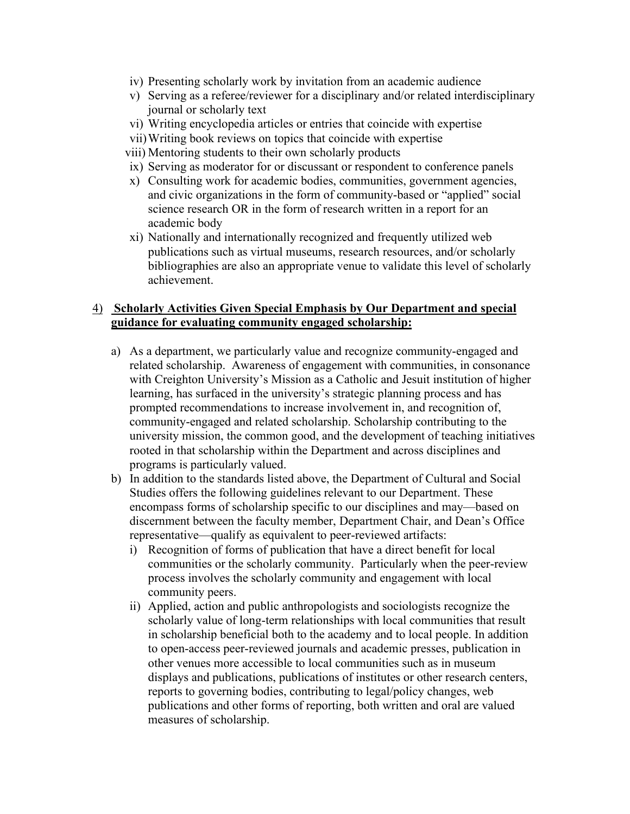- iv) Presenting scholarly work by invitation from an academic audience
- v) Serving as a referee/reviewer for a disciplinary and/or related interdisciplinary journal or scholarly text
- vi) Writing encyclopedia articles or entries that coincide with expertise
- vii)Writing book reviews on topics that coincide with expertise
- viii) Mentoring students to their own scholarly products
- ix) Serving as moderator for or discussant or respondent to conference panels
- x) Consulting work for academic bodies, communities, government agencies, and civic organizations in the form of community-based or "applied" social science research OR in the form of research written in a report for an academic body
- xi) Nationally and internationally recognized and frequently utilized web publications such as virtual museums, research resources, and/or scholarly bibliographies are also an appropriate venue to validate this level of scholarly achievement.

#### 4) **Scholarly Activities Given Special Emphasis by Our Department and special guidance for evaluating community engaged scholarship:**

- a) As a department, we particularly value and recognize community-engaged and related scholarship. Awareness of engagement with communities, in consonance with Creighton University's Mission as a Catholic and Jesuit institution of higher learning, has surfaced in the university's strategic planning process and has prompted recommendations to increase involvement in, and recognition of, community-engaged and related scholarship. Scholarship contributing to the university mission, the common good, and the development of teaching initiatives rooted in that scholarship within the Department and across disciplines and programs is particularly valued.
- b) In addition to the standards listed above, the Department of Cultural and Social Studies offers the following guidelines relevant to our Department. These encompass forms of scholarship specific to our disciplines and may—based on discernment between the faculty member, Department Chair, and Dean's Office representative—qualify as equivalent to peer-reviewed artifacts:
	- i) Recognition of forms of publication that have a direct benefit for local communities or the scholarly community. Particularly when the peer-review process involves the scholarly community and engagement with local community peers.
	- ii) Applied, action and public anthropologists and sociologists recognize the scholarly value of long-term relationships with local communities that result in scholarship beneficial both to the academy and to local people. In addition to open-access peer-reviewed journals and academic presses, publication in other venues more accessible to local communities such as in museum displays and publications, publications of institutes or other research centers, reports to governing bodies, contributing to legal/policy changes, web publications and other forms of reporting, both written and oral are valued measures of scholarship.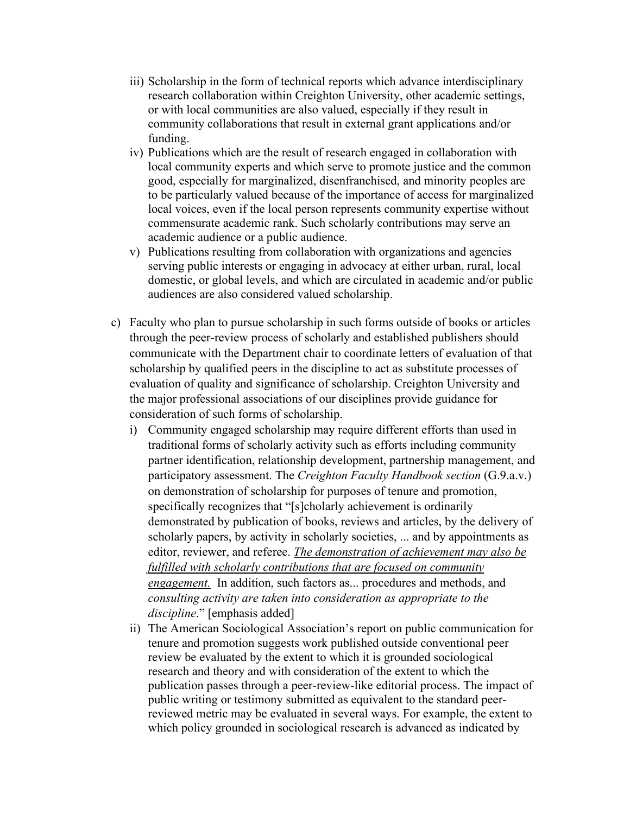- iii) Scholarship in the form of technical reports which advance interdisciplinary research collaboration within Creighton University, other academic settings, or with local communities are also valued, especially if they result in community collaborations that result in external grant applications and/or funding.
- iv) Publications which are the result of research engaged in collaboration with local community experts and which serve to promote justice and the common good, especially for marginalized, disenfranchised, and minority peoples are to be particularly valued because of the importance of access for marginalized local voices, even if the local person represents community expertise without commensurate academic rank. Such scholarly contributions may serve an academic audience or a public audience.
- v) Publications resulting from collaboration with organizations and agencies serving public interests or engaging in advocacy at either urban, rural, local domestic, or global levels, and which are circulated in academic and/or public audiences are also considered valued scholarship.
- c) Faculty who plan to pursue scholarship in such forms outside of books or articles through the peer-review process of scholarly and established publishers should communicate with the Department chair to coordinate letters of evaluation of that scholarship by qualified peers in the discipline to act as substitute processes of evaluation of quality and significance of scholarship. Creighton University and the major professional associations of our disciplines provide guidance for consideration of such forms of scholarship.
	- i) Community engaged scholarship may require different efforts than used in traditional forms of scholarly activity such as efforts including community partner identification, relationship development, partnership management, and participatory assessment. The *Creighton Faculty Handbook section* (G.9.a.v.) on demonstration of scholarship for purposes of tenure and promotion, specifically recognizes that "[s]cholarly achievement is ordinarily demonstrated by publication of books, reviews and articles, by the delivery of scholarly papers, by activity in scholarly societies, ... and by appointments as editor, reviewer, and referee. *The demonstration of achievement may also be fulfilled with scholarly contributions that are focused on community engagement.* In addition, such factors as... procedures and methods, and *consulting activity are taken into consideration as appropriate to the discipline*." [emphasis added]
	- ii) The American Sociological Association's report on public communication for tenure and promotion suggests work published outside conventional peer review be evaluated by the extent to which it is grounded sociological research and theory and with consideration of the extent to which the publication passes through a peer-review-like editorial process. The impact of public writing or testimony submitted as equivalent to the standard peerreviewed metric may be evaluated in several ways. For example, the extent to which policy grounded in sociological research is advanced as indicated by